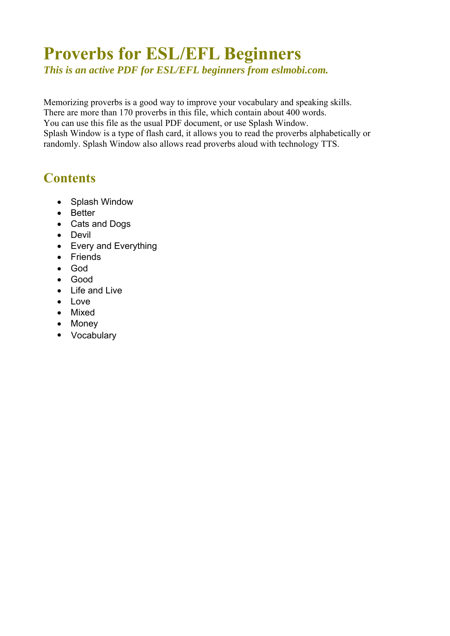# **Proverbs for ESL/EFL Beginners**

*This is an active PDF for ESL/EFL beginners from eslmobi.com.* 

Memorizing proverbs is a good way to improve your vocabulary and speaking skills. There are more than 170 proverbs in this file, which contain about 400 words. You can use this file as the usual PDF document, or use Splash Window. Splash Window is a type of flash card, it allows you to read the proverbs alphabetically or randomly. Splash Window also allows read proverbs aloud with technology TTS.

# **Contents**

- [Splash Window](#page-1-0)
- [Better](#page-2-0)
- [Cats and Dogs](#page-3-0)
- [Devil](#page-4-0)
- [Every and Everything](#page-5-0)
- [Friends](#page-6-0)
- [God](#page-7-0)
- [Good](#page-8-0)
- [Life and Live](#page-9-0)
- [Love](#page-10-0)
- [Mixed](#page-11-0)
- [Money](#page-12-0)
- [Vocabulary](#page-14-0)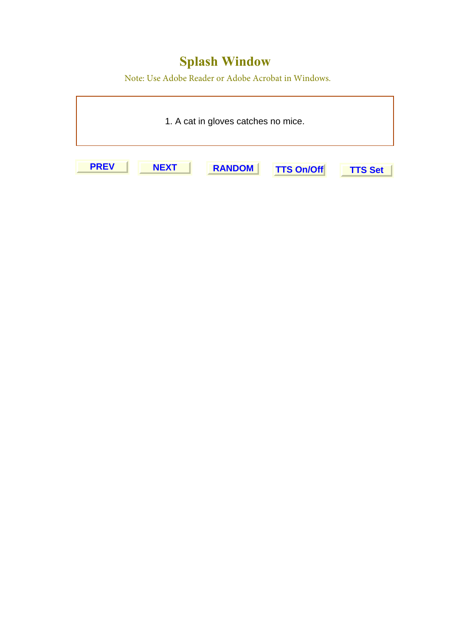# **Splash Window**

Note: Use Adobe Reader or Adobe Acrobat in Windows.

<span id="page-1-0"></span>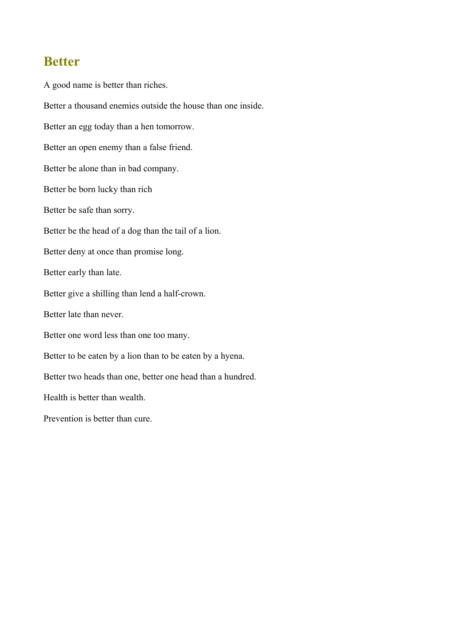#### <span id="page-2-0"></span>**Better**

A good name is better than riches. Better a thousand enemies outside the house than one inside. Better an egg today than a hen tomorrow. Better an open enemy than a false friend. Better be alone than in bad company. Better be born lucky than rich Better be safe than sorry. Better be the head of a dog than the tail of a lion. Better deny at once than promise long. Better early than late. Better give a shilling than lend a half-crown. Better late than never. Better one word less than one too many. Better to be eaten by a lion than to be eaten by a hyena. Better two heads than one, better one head than a hundred. Health is better than wealth. Prevention is better than cure.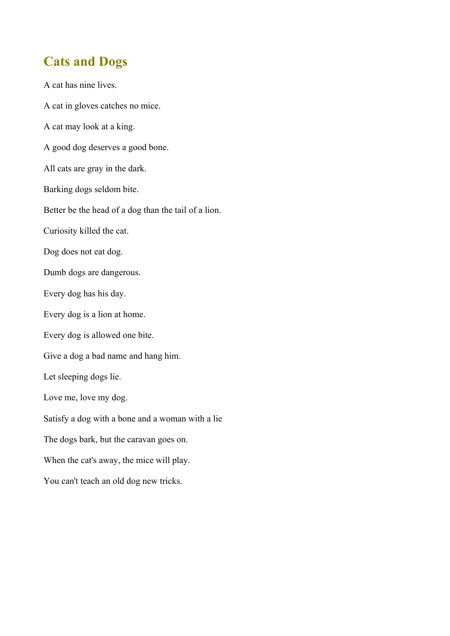# <span id="page-3-0"></span>**Cats and Dogs**

A cat has nine lives. A cat in gloves catches no mice. A cat may look at a king. A good dog deserves a good bone. All cats are gray in the dark. Barking dogs seldom bite. Better be the head of a dog than the tail of a lion. Curiosity killed the cat. Dog does not eat dog. Dumb dogs are dangerous. Every dog has his day. Every dog is a lion at home. Every dog is allowed one bite. Give a dog a bad name and hang him. Let sleeping dogs lie. Love me, love my dog. Satisfy a dog with a bone and a woman with a lie The dogs bark, but the caravan goes on. When the cat's away, the mice will play. You can't teach an old dog new tricks.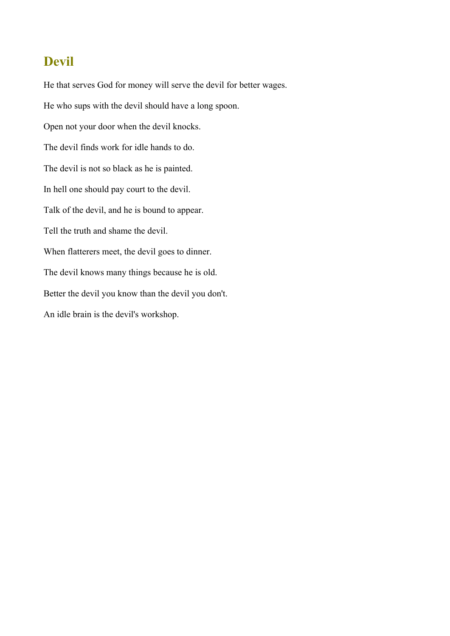# <span id="page-4-0"></span>**Devil**

He that serves God for money will serve the devil for better wages. He who sups with the devil should have a long spoon. Open not your door when the devil knocks. The devil finds work for idle hands to do. The devil is not so black as he is painted. In hell one should pay court to the devil. Talk of the devil, and he is bound to appear. Tell the truth and shame the devil. When flatterers meet, the devil goes to dinner. The devil knows many things because he is old. Better the devil you know than the devil you don't. An idle brain is the devil's workshop.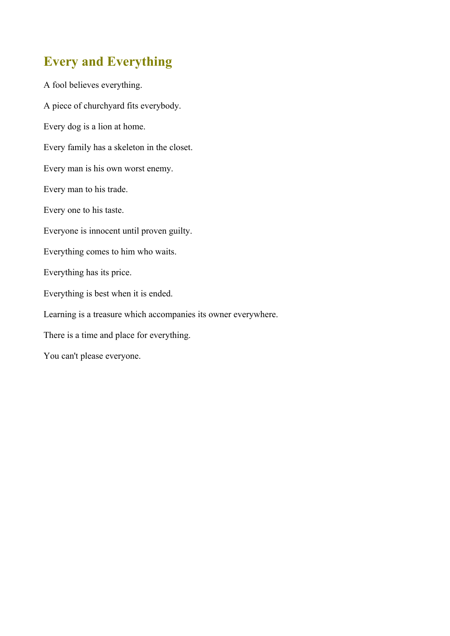# <span id="page-5-0"></span>**Every and Everything**

A fool believes everything. A piece of churchyard fits everybody. Every dog is a lion at home. Every family has a skeleton in the closet. Every man is his own worst enemy. Every man to his trade. Every one to his taste. Everyone is innocent until proven guilty. Everything comes to him who waits. Everything has its price. Everything is best when it is ended. Learning is a treasure which accompanies its owner everywhere. There is a time and place for everything. You can't please everyone.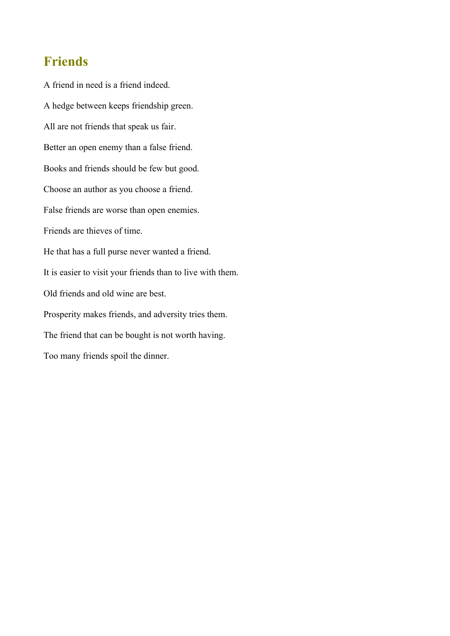#### <span id="page-6-0"></span>**Friends**

A friend in need is a friend indeed. A hedge between keeps friendship green. All are not friends that speak us fair. Better an open enemy than a false friend. Books and friends should be few but good. Choose an author as you choose a friend. False friends are worse than open enemies. Friends are thieves of time. He that has a full purse never wanted a friend. It is easier to visit your friends than to live with them. Old friends and old wine are best. Prosperity makes friends, and adversity tries them. The friend that can be bought is not worth having. Too many friends spoil the dinner.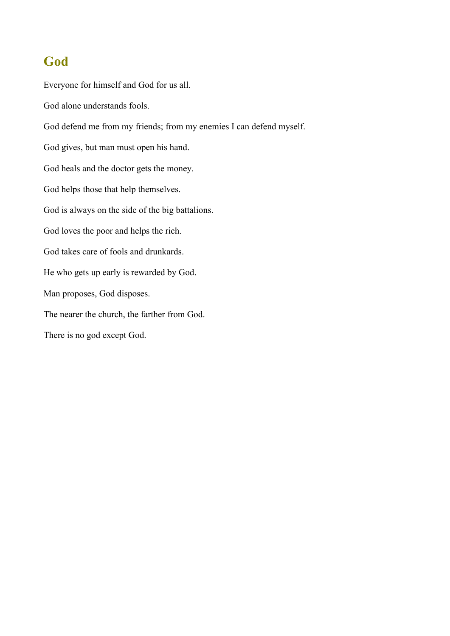# <span id="page-7-0"></span>**God**

Everyone for himself and God for us all. God alone understands fools. God defend me from my friends; from my enemies I can defend myself. God gives, but man must open his hand. God heals and the doctor gets the money. God helps those that help themselves. God is always on the side of the big battalions. God loves the poor and helps the rich. God takes care of fools and drunkards. He who gets up early is rewarded by God. Man proposes, God disposes. The nearer the church, the farther from God. There is no god except God.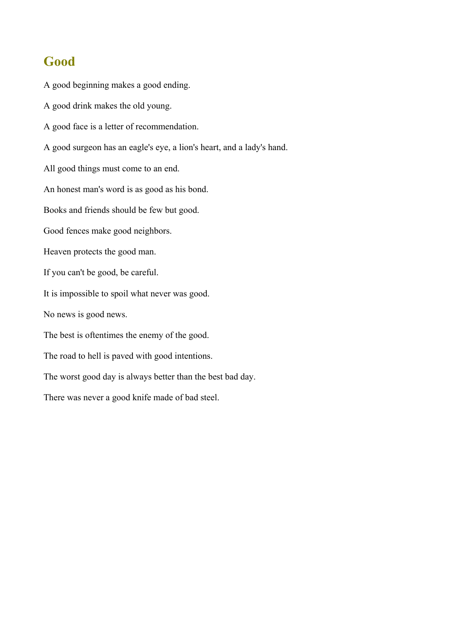#### <span id="page-8-0"></span>**Good**

A good beginning makes a good ending. A good drink makes the old young. A good face is a letter of recommendation. A good surgeon has an eagle's eye, a lion's heart, and a lady's hand. All good things must come to an end. An honest man's word is as good as his bond. Books and friends should be few but good. Good fences make good neighbors. Heaven protects the good man. If you can't be good, be careful. It is impossible to spoil what never was good. No news is good news. The best is oftentimes the enemy of the good. The road to hell is paved with good intentions. The worst good day is always better than the best bad day. There was never a good knife made of bad steel.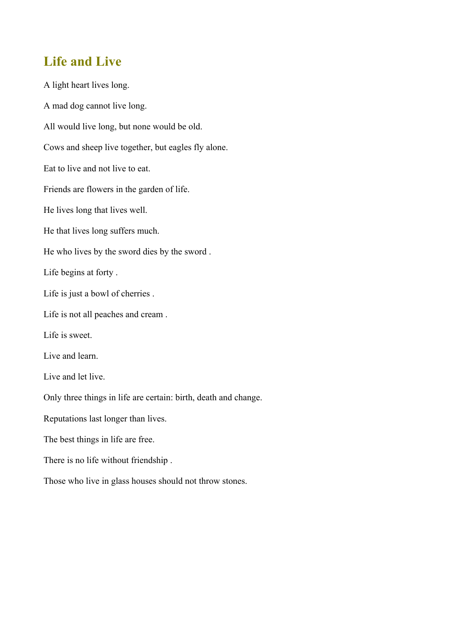#### <span id="page-9-0"></span>**Life and Live**

A light heart lives long. A mad dog cannot live long. All would live long, but none would be old. Cows and sheep live together, but eagles fly alone. Eat to live and not live to eat. Friends are flowers in the garden of life. He lives long that lives well. He that lives long suffers much. He who lives by the sword dies by the sword . Life begins at forty . Life is just a bowl of cherries . Life is not all peaches and cream . Life is sweet. Live and learn. Live and let live. Only three things in life are certain: birth, death and change. Reputations last longer than lives. The best things in life are free. There is no life without friendship . Those who live in glass houses should not throw stones.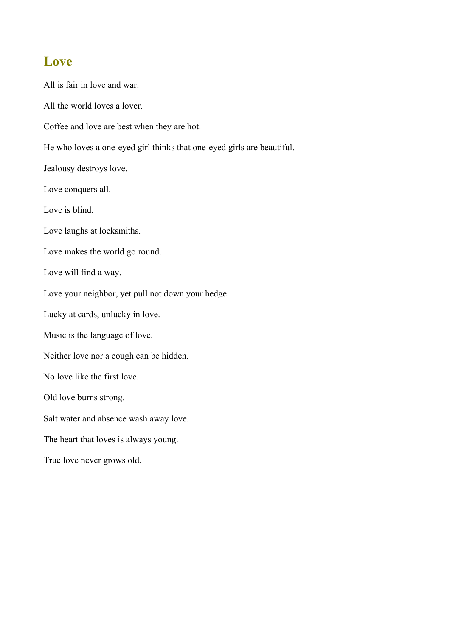#### <span id="page-10-0"></span>**Love**

All is fair in love and war. All the world loves a lover. Coffee and love are best when they are hot. He who loves a one-eyed girl thinks that one-eyed girls are beautiful. Jealousy destroys love. Love conquers all. Love is blind. Love laughs at locksmiths. Love makes the world go round. Love will find a way. Love your neighbor, yet pull not down your hedge. Lucky at cards, unlucky in love. Music is the language of love. Neither love nor a cough can be hidden. No love like the first love. Old love burns strong. Salt water and absence wash away love. The heart that loves is always young. True love never grows old.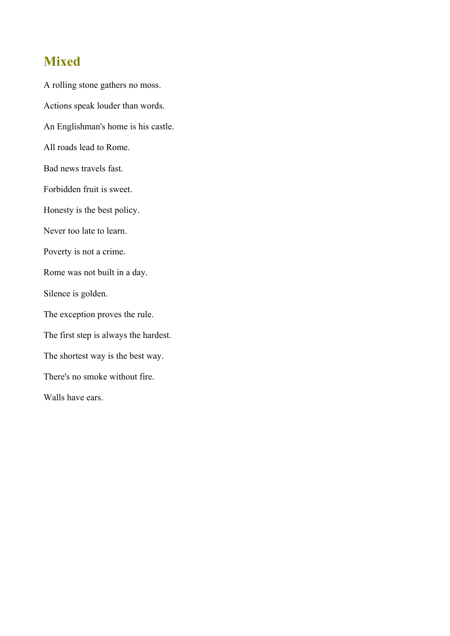#### <span id="page-11-0"></span>**Mixed**

A rolling stone gathers no moss. Actions speak louder than words. An Englishman's home is his castle. All roads lead to Rome. Bad news travels fast. Forbidden fruit is sweet. Honesty is the best policy. Never too late to learn. Poverty is not a crime. Rome was not built in a day. Silence is golden. The exception proves the rule. The first step is always the hardest. The shortest way is the best way. There's no smoke without fire. Walls have ears.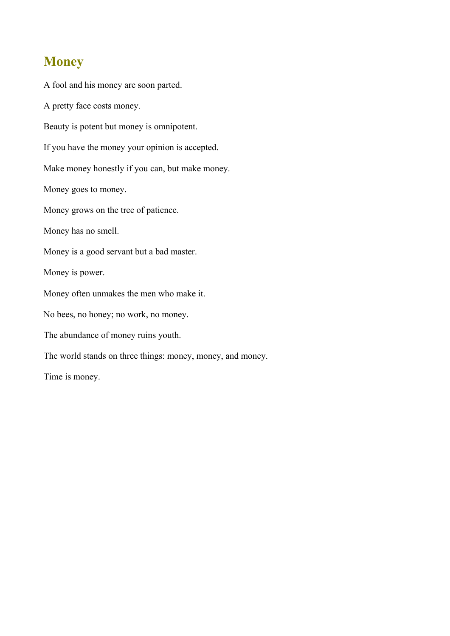# <span id="page-12-0"></span>**Money**

A fool and his money are soon parted. A pretty face costs money. Beauty is potent but money is omnipotent. If you have the money your opinion is accepted. Make money honestly if you can, but make money. Money goes to money. Money grows on the tree of patience. Money has no smell. Money is a good servant but a bad master. Money is power. Money often unmakes the men who make it. No bees, no honey; no work, no money. The abundance of money ruins youth. The world stands on three things: money, money, and money. Time is money.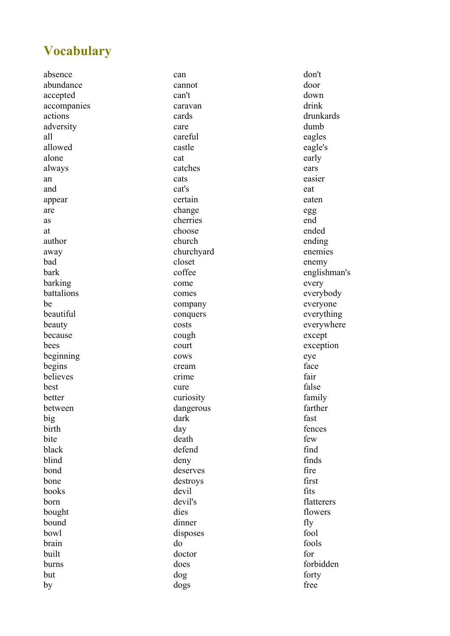# <span id="page-14-0"></span>**Vocabulary**

absence abundance accepted accompanies actions adversity all allowed alone always an and appear are as at author away bad bark barking battalions be beautiful beauty because bees beginning begins believes best better between big birth bite black blind bond bone books born bought bound bowl brain built burns but by

can cannot can't caravan cards care careful castle cat catches cats cat's certain change cherries choose church churchyard closet coffee come comes company conquers costs cough court cows cream crime cure curiosity dangerous dark day death defend deny deserves destroys devil devil's dies dinner disposes do doctor does dog dogs

don't door down drink drunkards dumb eagles eagle's early ears easier eat eaten egg end ended ending enemies enemy englishman's every everybody everyone everything everywhere except exception eye face fair false family farther fast fences few find finds fire first fits flatterers flowers fly fool fools for forbidden forty free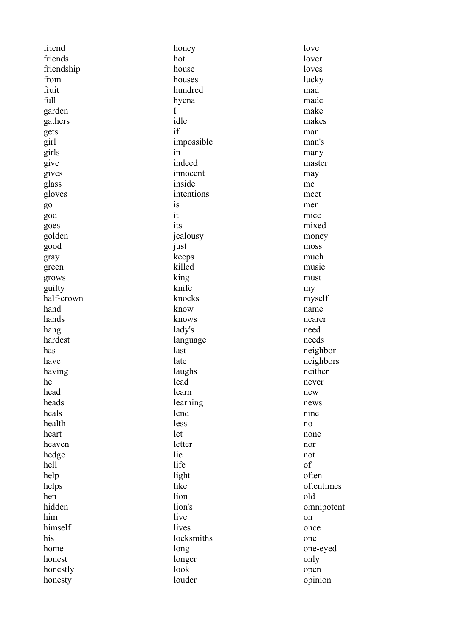friend friends friendship from fruit full garden gathers gets girl girls give gives glass gloves go god goes golden good gray green grows guilty half-crown hand hands hang hardest has have having he head heads heals health heart heaven hedge hell help helps hen hidden him himself his home honest honestly honesty

honey hot house houses hundred hyena I idle if impossible in indeed innocent inside intentions  $i<sub>s</sub>$ it its jealousy just keeps killed king knife knocks know knows lady's language last late laughs lead learn learning lend less let letter lie life light like lion lion's live lives locksmiths long longer look louder

love lover loves lucky mad made make makes man man's many master may me meet men mice mixed money moss much music must my myself name nearer need needs neighbor neighbors neither never new news nine no none nor not of often oftentimes old omnipotent on once one one-eyed only open opinion